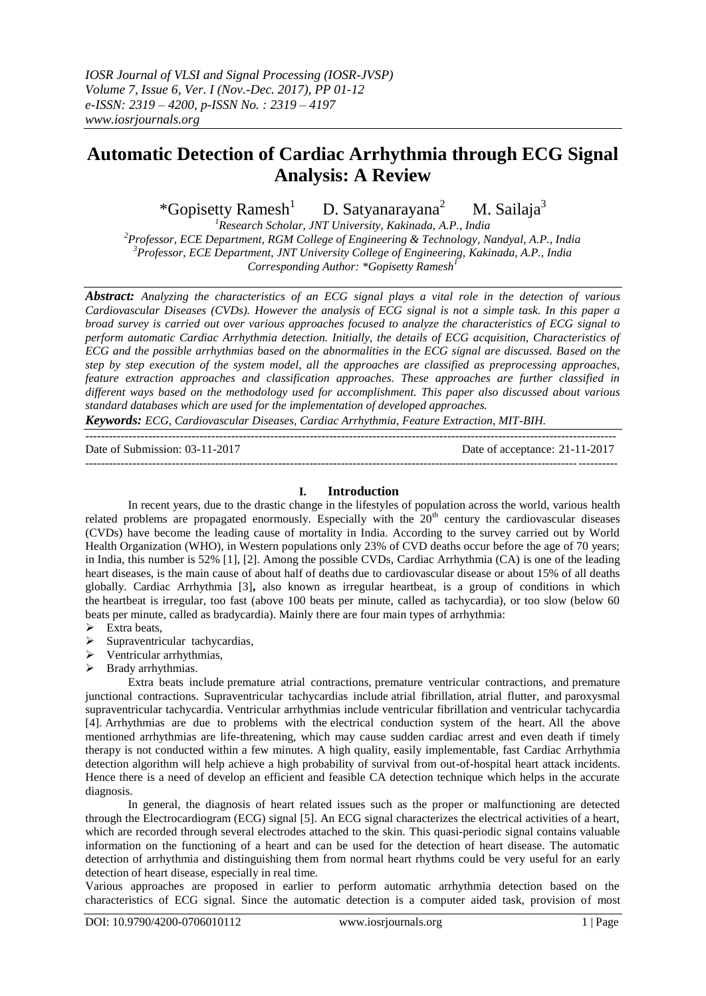# **Automatic Detection of Cardiac Arrhythmia through ECG Signal Analysis: A Review**

\*Gopisetty Ramesh $<sup>1</sup>$ </sup> D. Satyanarayana<sup>2</sup> M. Sailaj $a^3$ 

*Research Scholar, JNT University, Kakinada, A.P., India Professor, ECE Department, RGM College of Engineering & Technology, Nandyal, A.P., India Professor, ECE Department, JNT University College of Engineering, Kakinada, A.P., India Corresponding Author: \*Gopisetty Ramesh<sup>1</sup>*

*Abstract: Analyzing the characteristics of an ECG signal plays a vital role in the detection of various Cardiovascular Diseases (CVDs). However the analysis of ECG signal is not a simple task. In this paper a broad survey is carried out over various approaches focused to analyze the characteristics of ECG signal to perform automatic Cardiac Arrhythmia detection. Initially, the details of ECG acquisition, Characteristics of ECG and the possible arrhythmias based on the abnormalities in the ECG signal are discussed. Based on the step by step execution of the system model, all the approaches are classified as preprocessing approaches, feature extraction approaches and classification approaches. These approaches are further classified in different ways based on the methodology used for accomplishment. This paper also discussed about various standard databases which are used for the implementation of developed approaches.* 

*Keywords: ECG, Cardiovascular Diseases, Cardiac Arrhythmia, Feature Extraction, MIT-BIH.* ---------------------------------------------------------------------------------------------------------------------------------------

Date of Submission: 03-11-2017 Date of acceptance: 21-11-2017 ---------------------------------------------------------------------------------------------------------------------------------------

## **I. Introduction**

In recent years, due to the drastic change in the lifestyles of population across the world, various health related problems are propagated enormously. Especially with the  $20<sup>th</sup>$  century the cardiovascular diseases (CVDs) have become the leading cause of mortality in India. According to the survey carried out by World Health Organization (WHO), in Western populations only 23% of CVD deaths occur before the age of 70 years; in India, this number is 52% [1], [2]. Among the possible CVDs, Cardiac Arrhythmia (CA) is one of the leading heart diseases, is the main cause of about half of deaths due to cardiovascular disease or about 15% of all deaths globally. Cardiac Arrhythmia [3]**,** also known as irregular heartbeat, is a group of conditions in which the heartbeat is irregular, too fast (above 100 beats per minute, called as tachycardia), or too slow (below 60 beats per minute, called as bradycardia). Mainly there are four main types of arrhythmia:

- $\triangleright$  Extra beats,
- $\triangleright$  Supraventricular tachycardias,
- Ventricular arrhythmias,
- $\triangleright$  Brady arrhythmias.

Extra beats include premature atrial contractions, premature ventricular contractions, and premature junctional contractions. Supraventricular tachycardias include atrial fibrillation, atrial flutter, and paroxysmal supraventricular tachycardia. Ventricular arrhythmias include ventricular fibrillation and ventricular tachycardia [4]. Arrhythmias are due to problems with the electrical conduction system of the heart. All the above mentioned arrhythmias are life-threatening, which may cause sudden cardiac arrest and even death if timely therapy is not conducted within a few minutes. A high quality, easily implementable, fast Cardiac Arrhythmia detection algorithm will help achieve a high probability of survival from out-of-hospital heart attack incidents. Hence there is a need of develop an efficient and feasible CA detection technique which helps in the accurate diagnosis.

In general, the diagnosis of heart related issues such as the proper or malfunctioning are detected through the Electrocardiogram (ECG) signal [5]. An ECG signal characterizes the electrical activities of a heart, which are recorded through several electrodes attached to the skin. This quasi-periodic signal contains valuable information on the functioning of a heart and can be used for the detection of heart disease. The automatic detection of arrhythmia and distinguishing them from normal heart rhythms could be very useful for an early detection of heart disease, especially in real time.

Various approaches are proposed in earlier to perform automatic arrhythmia detection based on the characteristics of ECG signal. Since the automatic detection is a computer aided task, provision of most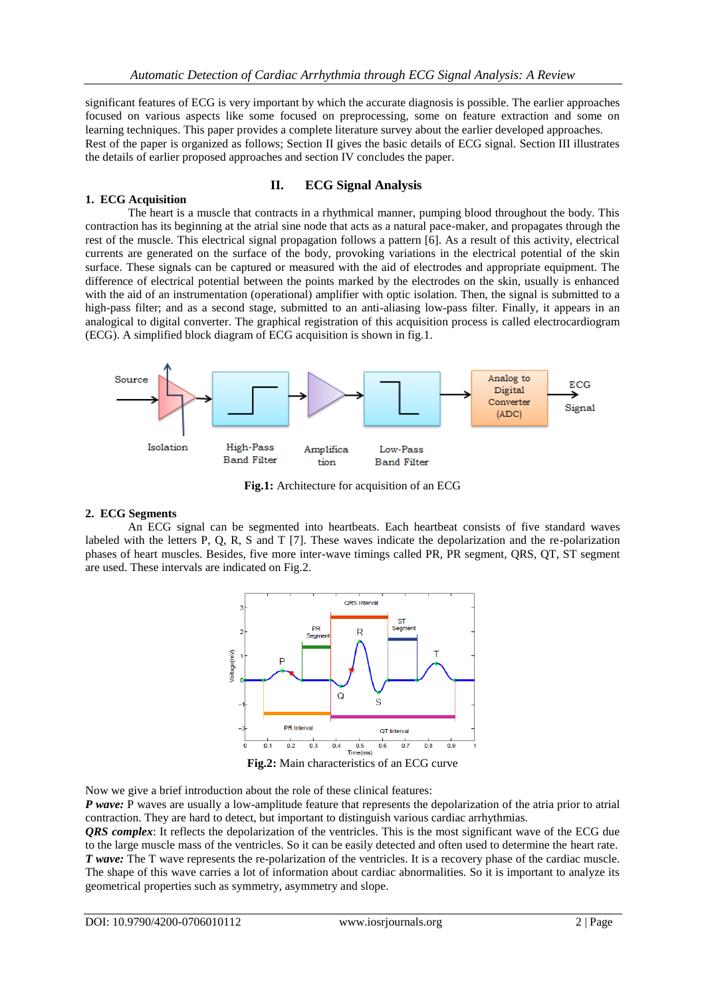significant features of ECG is very important by which the accurate diagnosis is possible. The earlier approaches focused on various aspects like some focused on preprocessing, some on feature extraction and some on learning techniques. This paper provides a complete literature survey about the earlier developed approaches. Rest of the paper is organized as follows; Section II gives the basic details of ECG signal. Section III illustrates the details of earlier proposed approaches and section IV concludes the paper.

## **1. ECG Acquisition**

## **II. ECG Signal Analysis**

The heart is a muscle that contracts in a rhythmical manner, pumping blood throughout the body. This contraction has its beginning at the atrial sine node that acts as a natural pace-maker, and propagates through the rest of the muscle. This electrical signal propagation follows a pattern [6]. As a result of this activity, electrical currents are generated on the surface of the body, provoking variations in the electrical potential of the skin surface. These signals can be captured or measured with the aid of electrodes and appropriate equipment. The difference of electrical potential between the points marked by the electrodes on the skin, usually is enhanced with the aid of an instrumentation (operational) amplifier with optic isolation. Then, the signal is submitted to a high-pass filter; and as a second stage, submitted to an anti-aliasing low-pass filter. Finally, it appears in an analogical to digital converter. The graphical registration of this acquisition process is called electrocardiogram (ECG). A simplified block diagram of ECG acquisition is shown in fig.1.



**Fig.1:** Architecture for acquisition of an ECG

## **2. ECG Segments**

An ECG signal can be segmented into heartbeats. Each heartbeat consists of five standard waves labeled with the letters P, Q, R, S and T [7]. These waves indicate the depolarization and the re-polarization phases of heart muscles. Besides, five more inter-wave timings called PR, PR segment, QRS, QT, ST segment are used. These intervals are indicated on Fig.2.



**Fig.2:** Main characteristics of an ECG curve

Now we give a brief introduction about the role of these clinical features:

*P wave:* P waves are usually a low-amplitude feature that represents the depolarization of the atria prior to atrial contraction. They are hard to detect, but important to distinguish various cardiac arrhythmias.

*QRS complex*: It reflects the depolarization of the ventricles. This is the most significant wave of the ECG due to the large muscle mass of the ventricles. So it can be easily detected and often used to determine the heart rate. *T wave:* The T wave represents the re-polarization of the ventricles. It is a recovery phase of the cardiac muscle. The shape of this wave carries a lot of information about cardiac abnormalities. So it is important to analyze its geometrical properties such as symmetry, asymmetry and slope.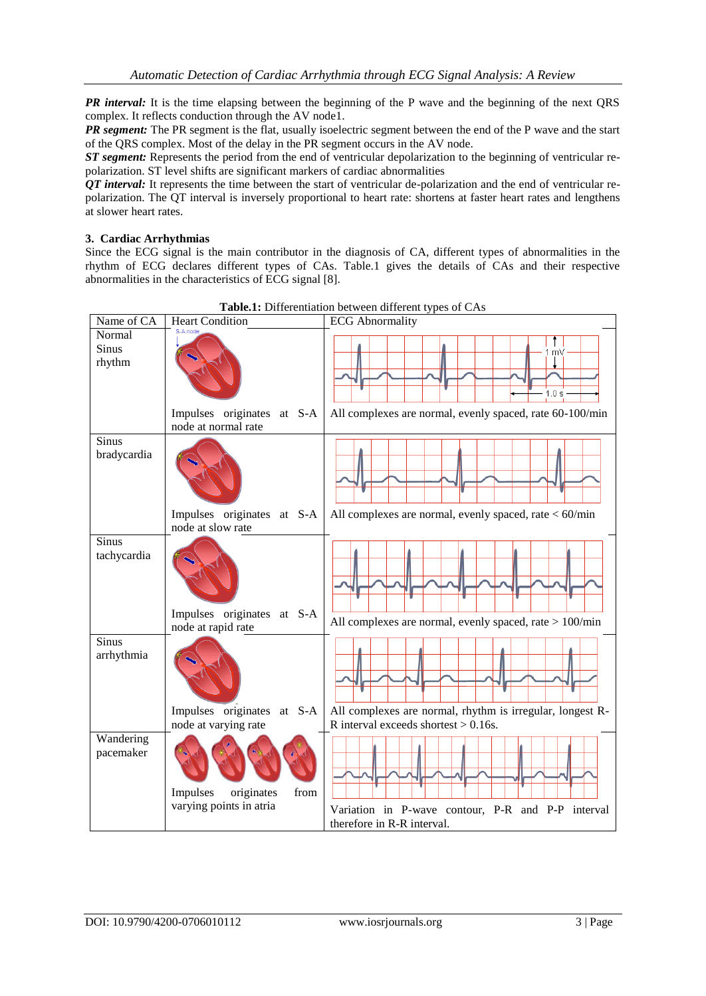*PR interval:* It is the time elapsing between the beginning of the P wave and the beginning of the next ORS complex. It reflects conduction through the AV node1.

*PR segment:* The PR segment is the flat, usually isoelectric segment between the end of the P wave and the start of the QRS complex. Most of the delay in the PR segment occurs in the AV node.

*ST segment:* Represents the period from the end of ventricular depolarization to the beginning of ventricular repolarization. ST level shifts are significant markers of cardiac abnormalities

*QT interval:* It represents the time between the start of ventricular de-polarization and the end of ventricular repolarization. The QT interval is inversely proportional to heart rate: shortens at faster heart rates and lengthens at slower heart rates.

## **3. Cardiac Arrhythmias**

Since the ECG signal is the main contributor in the diagnosis of CA, different types of abnormalities in the rhythm of ECG declares different types of CAs. Table.1 gives the details of CAs and their respective abnormalities in the characteristics of ECG signal [8].



**Table.1:** Differentiation between different types of CAs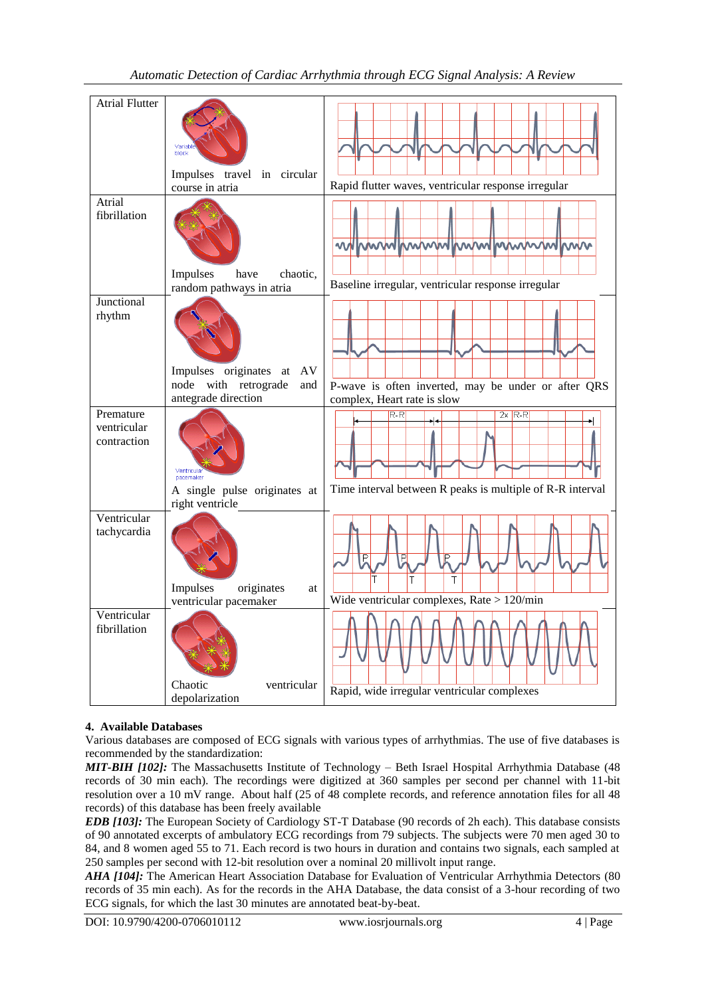## *Automatic Detection of Cardiac Arrhythmia through ECG Signal Analysis: A Review*

| <b>Atrial Flutter</b>                   |                                                                                          |                                                                                         |
|-----------------------------------------|------------------------------------------------------------------------------------------|-----------------------------------------------------------------------------------------|
|                                         | Variat<br>block<br>Impulses travel in circular<br>course in atria                        | Rapid flutter waves, ventricular response irregular                                     |
| Atrial<br>fibrillation                  | Impulses<br>chaotic,<br>have<br>random pathways in atria                                 | mmmmmmmmmmmmmm<br><b>MWW</b><br>൜<br>Baseline irregular, ventricular response irregular |
| Junctional<br>rhythm                    | Impulses originates<br>AV<br>at<br>with retrograde<br>node<br>and<br>antegrade direction | P-wave is often inverted, may be under or after QRS<br>complex, Heart rate is slow      |
| Premature<br>ventricular<br>contraction | Ventricula<br>pacemaker<br>A single pulse originates at<br>right ventricle               | $2x$ R-R<br>$R-R$<br>Time interval between R peaks is multiple of R-R interval          |
| Ventricular<br>tachycardia              | Impulses<br>originates<br>at<br>ventricular pacemaker                                    | Ē<br>IP.<br>Wide ventricular complexes, Rate $> 120$ /min                               |
| Ventricular<br>fibrillation             | Chaotic<br>ventricular<br>depolarization                                                 | n<br>A<br>Rapid, wide irregular ventricular complexes                                   |

## **4. Available Databases**

Various databases are composed of ECG signals with various types of arrhythmias. The use of five databases is recommended by the standardization:

*MIT-BIH [102]:* The Massachusetts Institute of Technology – Beth Israel Hospital Arrhythmia Database (48) records of 30 min each). The recordings were digitized at 360 samples per second per channel with 11-bit resolution over a 10 mV range. About half (25 of 48 complete records, and reference annotation files for all 48 records) of this database has been freely available

*EDB [103]:* The European Society of Cardiology ST-T Database (90 records of 2h each). This database consists of 90 annotated excerpts of ambulatory ECG recordings from 79 subjects. The subjects were 70 men aged 30 to 84, and 8 women aged 55 to 71. Each record is two hours in duration and contains two signals, each sampled at 250 samples per second with 12-bit resolution over a nominal 20 millivolt input range.

*AHA [104]:* The American Heart Association Database for Evaluation of Ventricular Arrhythmia Detectors (80 records of 35 min each). As for the records in the AHA Database, the data consist of a 3-hour recording of two ECG signals, for which the last 30 minutes are annotated beat-by-beat.

DOI: 10.9790/4200-0706010112 www.iosrjournals.org 4 | Page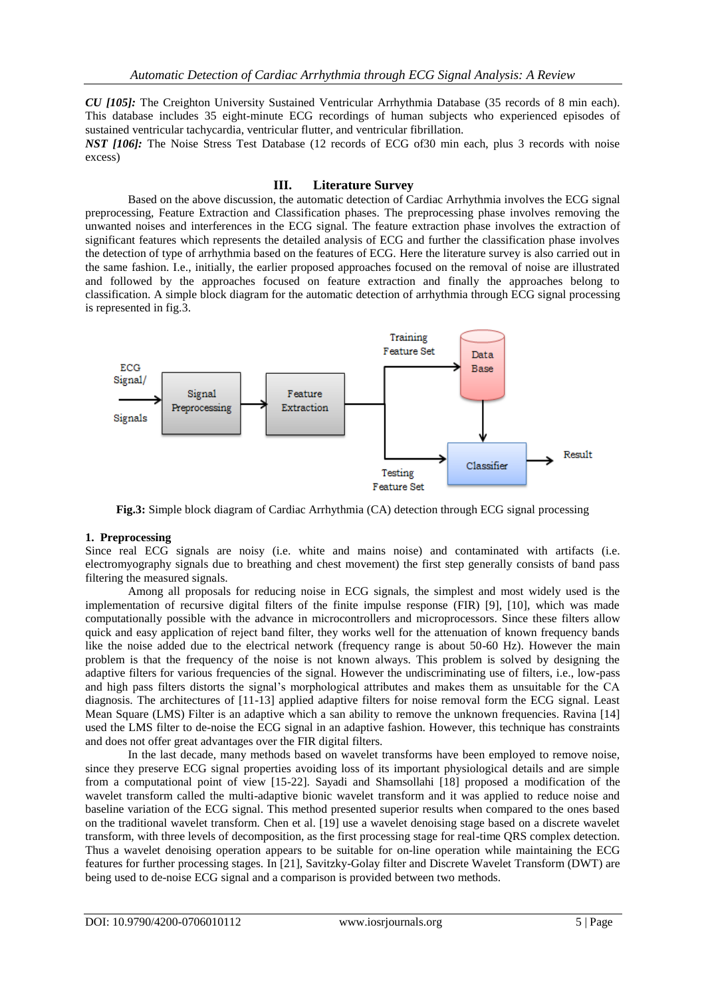*CU [105]:* The Creighton University Sustained Ventricular Arrhythmia Database (35 records of 8 min each). This database includes 35 eight-minute ECG recordings of human subjects who experienced episodes of sustained ventricular tachycardia, ventricular flutter, and ventricular fibrillation.

*NST [106]:* The Noise Stress Test Database (12 records of ECG of 30 min each, plus 3 records with noise excess)

### **III. Literature Survey**

Based on the above discussion, the automatic detection of Cardiac Arrhythmia involves the ECG signal preprocessing, Feature Extraction and Classification phases. The preprocessing phase involves removing the unwanted noises and interferences in the ECG signal. The feature extraction phase involves the extraction of significant features which represents the detailed analysis of ECG and further the classification phase involves the detection of type of arrhythmia based on the features of ECG. Here the literature survey is also carried out in the same fashion. I.e., initially, the earlier proposed approaches focused on the removal of noise are illustrated and followed by the approaches focused on feature extraction and finally the approaches belong to classification. A simple block diagram for the automatic detection of arrhythmia through ECG signal processing is represented in fig.3.



**Fig.3:** Simple block diagram of Cardiac Arrhythmia (CA) detection through ECG signal processing

#### **1. Preprocessing**

Since real ECG signals are noisy (i.e. white and mains noise) and contaminated with artifacts (i.e. electromyography signals due to breathing and chest movement) the first step generally consists of band pass filtering the measured signals.

Among all proposals for reducing noise in ECG signals, the simplest and most widely used is the implementation of recursive digital filters of the finite impulse response (FIR) [9], [10], which was made computationally possible with the advance in microcontrollers and microprocessors. Since these filters allow quick and easy application of reject band filter, they works well for the attenuation of known frequency bands like the noise added due to the electrical network (frequency range is about 50-60 Hz). However the main problem is that the frequency of the noise is not known always. This problem is solved by designing the adaptive filters for various frequencies of the signal. However the undiscriminating use of filters, i.e., low-pass and high pass filters distorts the signal's morphological attributes and makes them as unsuitable for the CA diagnosis. The architectures of [11-13] applied adaptive filters for noise removal form the ECG signal. Least Mean Square (LMS) Filter is an adaptive which a san ability to remove the unknown frequencies. Ravina [14] used the LMS filter to de-noise the ECG signal in an adaptive fashion. However, this technique has constraints and does not offer great advantages over the FIR digital filters.

In the last decade, many methods based on wavelet transforms have been employed to remove noise, since they preserve ECG signal properties avoiding loss of its important physiological details and are simple from a computational point of view [15-22]. Sayadi and Shamsollahi [18] proposed a modification of the wavelet transform called the multi-adaptive bionic wavelet transform and it was applied to reduce noise and baseline variation of the ECG signal. This method presented superior results when compared to the ones based on the traditional wavelet transform. Chen et al. [19] use a wavelet denoising stage based on a discrete wavelet transform, with three levels of decomposition, as the first processing stage for real-time QRS complex detection. Thus a wavelet denoising operation appears to be suitable for on-line operation while maintaining the ECG features for further processing stages. In [21], Savitzky-Golay filter and Discrete Wavelet Transform (DWT) are being used to de-noise ECG signal and a comparison is provided between two methods.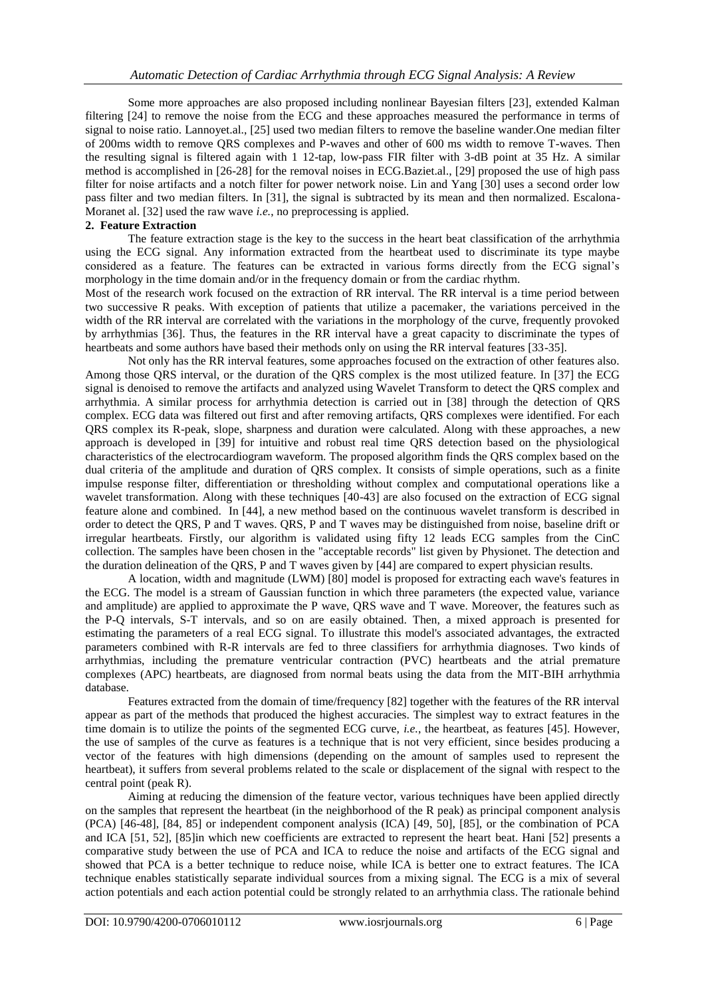Some more approaches are also proposed including nonlinear Bayesian filters [23], extended Kalman filtering [24] to remove the noise from the ECG and these approaches measured the performance in terms of signal to noise ratio. Lannoyet.al., [25] used two median filters to remove the baseline wander.One median filter of 200ms width to remove QRS complexes and P-waves and other of 600 ms width to remove T-waves. Then the resulting signal is filtered again with 1 12-tap, low-pass FIR filter with 3-dB point at 35 Hz. A similar method is accomplished in [26-28] for the removal noises in ECG.Baziet.al., [29] proposed the use of high pass filter for noise artifacts and a notch filter for power network noise. Lin and Yang [30] uses a second order low pass filter and two median filters. In [31], the signal is subtracted by its mean and then normalized. Escalona-Moranet al. [32] used the raw wave *i.e.*, no preprocessing is applied.

#### **2. Feature Extraction**

The feature extraction stage is the key to the success in the heart beat classification of the arrhythmia using the ECG signal. Any information extracted from the heartbeat used to discriminate its type maybe considered as a feature. The features can be extracted in various forms directly from the ECG signal's morphology in the time domain and/or in the frequency domain or from the cardiac rhythm.

Most of the research work focused on the extraction of RR interval. The RR interval is a time period between two successive R peaks. With exception of patients that utilize a pacemaker, the variations perceived in the width of the RR interval are correlated with the variations in the morphology of the curve, frequently provoked by arrhythmias [36]. Thus, the features in the RR interval have a great capacity to discriminate the types of heartbeats and some authors have based their methods only on using the RR interval features [33-35].

Not only has the RR interval features, some approaches focused on the extraction of other features also. Among those QRS interval, or the duration of the QRS complex is the most utilized feature. In [37] the ECG signal is denoised to remove the artifacts and analyzed using Wavelet Transform to detect the QRS complex and arrhythmia. A similar process for arrhythmia detection is carried out in [38] through the detection of QRS complex. ECG data was filtered out first and after removing artifacts, QRS complexes were identified. For each QRS complex its R-peak, slope, sharpness and duration were calculated. Along with these approaches, a new approach is developed in [39] for intuitive and robust real time QRS detection based on the physiological characteristics of the electrocardiogram waveform. The proposed algorithm finds the QRS complex based on the dual criteria of the amplitude and duration of QRS complex. It consists of simple operations, such as a finite impulse response filter, differentiation or thresholding without complex and computational operations like a wavelet transformation. Along with these techniques [40-43] are also focused on the extraction of ECG signal feature alone and combined. In [44], a new method based on the continuous wavelet transform is described in order to detect the QRS, P and T waves. QRS, P and T waves may be distinguished from noise, baseline drift or irregular heartbeats. Firstly, our algorithm is validated using fifty 12 leads ECG samples from the CinC collection. The samples have been chosen in the "acceptable records" list given by Physionet. The detection and the duration delineation of the QRS, P and T waves given by [44] are compared to expert physician results.

A location, width and magnitude (LWM) [80] model is proposed for extracting each wave's features in the ECG. The model is a stream of Gaussian function in which three parameters (the expected value, variance and amplitude) are applied to approximate the P wave, QRS wave and T wave. Moreover, the features such as the P-Q intervals, S-T intervals, and so on are easily obtained. Then, a mixed approach is presented for estimating the parameters of a real ECG signal. To illustrate this model's associated advantages, the extracted parameters combined with R-R intervals are fed to three classifiers for arrhythmia diagnoses. Two kinds of arrhythmias, including the premature ventricular contraction (PVC) heartbeats and the atrial premature complexes (APC) heartbeats, are diagnosed from normal beats using the data from the MIT-BIH arrhythmia database.

Features extracted from the domain of time/frequency [82] together with the features of the RR interval appear as part of the methods that produced the highest accuracies. The simplest way to extract features in the time domain is to utilize the points of the segmented ECG curve, *i.e.*, the heartbeat, as features [45]. However, the use of samples of the curve as features is a technique that is not very efficient, since besides producing a vector of the features with high dimensions (depending on the amount of samples used to represent the heartbeat), it suffers from several problems related to the scale or displacement of the signal with respect to the central point (peak R).

Aiming at reducing the dimension of the feature vector, various techniques have been applied directly on the samples that represent the heartbeat (in the neighborhood of the R peak) as principal component analysis (PCA) [46-48], [84, 85] or independent component analysis (ICA) [49, 50], [85], or the combination of PCA and ICA [51, 52], [85]in which new coefficients are extracted to represent the heart beat. Hani [52] presents a comparative study between the use of PCA and ICA to reduce the noise and artifacts of the ECG signal and showed that PCA is a better technique to reduce noise, while ICA is better one to extract features. The ICA technique enables statistically separate individual sources from a mixing signal. The ECG is a mix of several action potentials and each action potential could be strongly related to an arrhythmia class. The rationale behind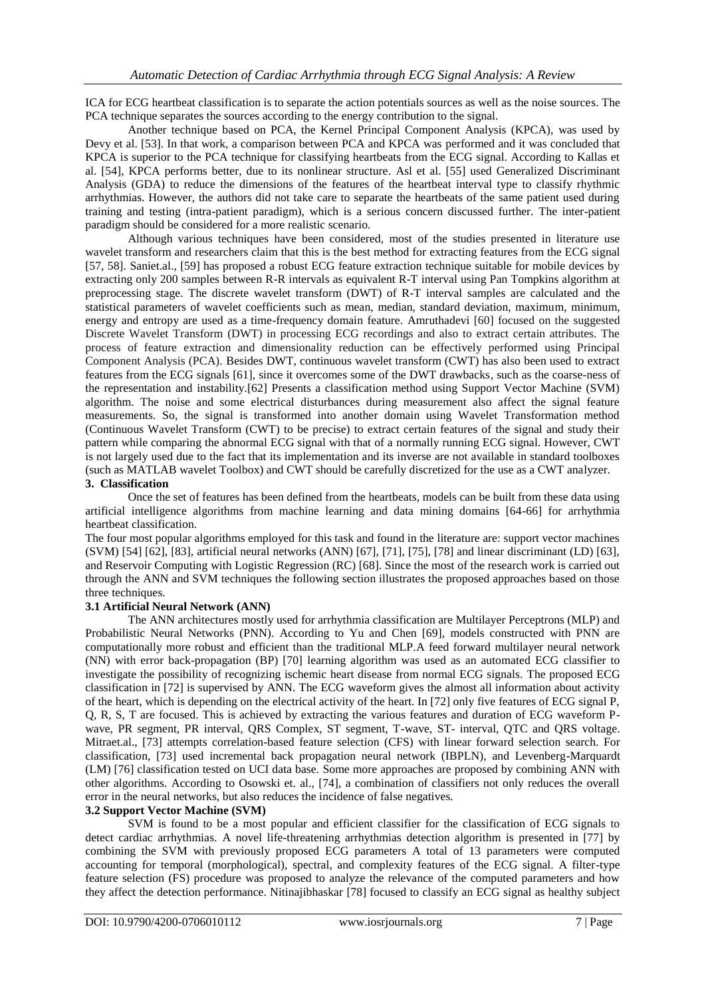ICA for ECG heartbeat classification is to separate the action potentials sources as well as the noise sources. The PCA technique separates the sources according to the energy contribution to the signal.

Another technique based on PCA, the Kernel Principal Component Analysis (KPCA), was used by Devy et al. [53]. In that work, a comparison between PCA and KPCA was performed and it was concluded that KPCA is superior to the PCA technique for classifying heartbeats from the ECG signal. According to Kallas et al. [54], KPCA performs better, due to its nonlinear structure. Asl et al. [55] used Generalized Discriminant Analysis (GDA) to reduce the dimensions of the features of the heartbeat interval type to classify rhythmic arrhythmias. However, the authors did not take care to separate the heartbeats of the same patient used during training and testing (intra-patient paradigm), which is a serious concern discussed further. The inter-patient paradigm should be considered for a more realistic scenario.

Although various techniques have been considered, most of the studies presented in literature use wavelet transform and researchers claim that this is the best method for extracting features from the ECG signal [57, 58]. Saniet.al., [59] has proposed a robust ECG feature extraction technique suitable for mobile devices by extracting only 200 samples between R-R intervals as equivalent R-T interval using Pan Tompkins algorithm at preprocessing stage. The discrete wavelet transform (DWT) of R-T interval samples are calculated and the statistical parameters of wavelet coefficients such as mean, median, standard deviation, maximum, minimum, energy and entropy are used as a time-frequency domain feature. Amruthadevi [60] focused on the suggested Discrete Wavelet Transform (DWT) in processing ECG recordings and also to extract certain attributes. The process of feature extraction and dimensionality reduction can be effectively performed using Principal Component Analysis (PCA). Besides DWT, continuous wavelet transform (CWT) has also been used to extract features from the ECG signals [61], since it overcomes some of the DWT drawbacks, such as the coarse-ness of the representation and instability.[62] Presents a classification method using Support Vector Machine (SVM) algorithm. The noise and some electrical disturbances during measurement also affect the signal feature measurements. So, the signal is transformed into another domain using Wavelet Transformation method (Continuous Wavelet Transform (CWT) to be precise) to extract certain features of the signal and study their pattern while comparing the abnormal ECG signal with that of a normally running ECG signal. However, CWT is not largely used due to the fact that its implementation and its inverse are not available in standard toolboxes (such as MATLAB wavelet Toolbox) and CWT should be carefully discretized for the use as a CWT analyzer. **3. Classification** 

Once the set of features has been defined from the heartbeats, models can be built from these data using artificial intelligence algorithms from machine learning and data mining domains [64-66] for arrhythmia heartbeat classification.

The four most popular algorithms employed for this task and found in the literature are: support vector machines (SVM) [54] [62], [83], artificial neural networks (ANN) [67], [71], [75], [78] and linear discriminant (LD) [63], and Reservoir Computing with Logistic Regression (RC) [68]. Since the most of the research work is carried out through the ANN and SVM techniques the following section illustrates the proposed approaches based on those three techniques.

#### **3.1 Artificial Neural Network (ANN)**

The ANN architectures mostly used for arrhythmia classification are Multilayer Perceptrons (MLP) and Probabilistic Neural Networks (PNN). According to Yu and Chen [69], models constructed with PNN are computationally more robust and efficient than the traditional MLP.A feed forward multilayer neural network (NN) with error back-propagation (BP) [70] learning algorithm was used as an automated ECG classifier to investigate the possibility of recognizing ischemic heart disease from normal ECG signals. The proposed ECG classification in [72] is supervised by ANN. The ECG waveform gives the almost all information about activity of the heart, which is depending on the electrical activity of the heart. In [72] only five features of ECG signal P, Q, R, S, T are focused. This is achieved by extracting the various features and duration of ECG waveform Pwave, PR segment, PR interval, QRS Complex, ST segment, T-wave, ST- interval, QTC and QRS voltage. Mitraet.al., [73] attempts correlation-based feature selection (CFS) with linear forward selection search. For classification, [73] used incremental back propagation neural network (IBPLN), and Levenberg-Marquardt (LM) [76] classification tested on UCI data base. Some more approaches are proposed by combining ANN with other algorithms. According to Osowski et. al., [74], a combination of classifiers not only reduces the overall error in the neural networks, but also reduces the incidence of false negatives.

#### **3.2 Support Vector Machine (SVM)**

SVM is found to be a most popular and efficient classifier for the classification of ECG signals to detect cardiac arrhythmias. A novel life-threatening arrhythmias detection algorithm is presented in [77] by combining the SVM with previously proposed ECG parameters A total of 13 parameters were computed accounting for temporal (morphological), spectral, and complexity features of the ECG signal. A filter-type feature selection (FS) procedure was proposed to analyze the relevance of the computed parameters and how they affect the detection performance. Nitinajibhaskar [78] focused to classify an ECG signal as healthy subject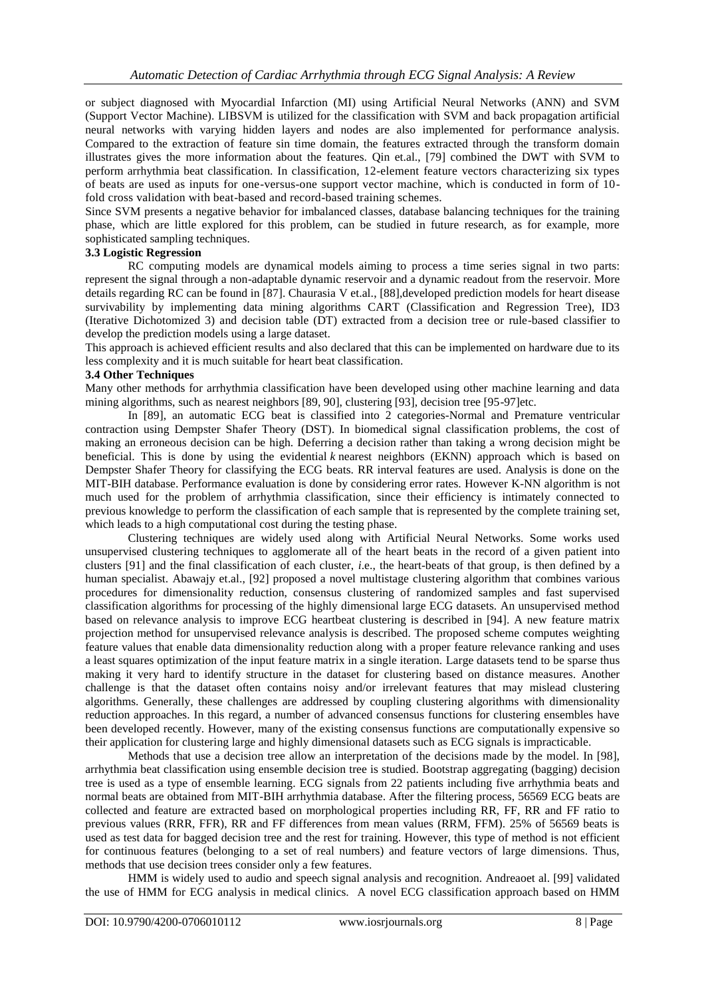or subject diagnosed with Myocardial Infarction (MI) using Artificial Neural Networks (ANN) and SVM (Support Vector Machine). LIBSVM is utilized for the classification with SVM and back propagation artificial neural networks with varying hidden layers and nodes are also implemented for performance analysis. Compared to the extraction of feature sin time domain, the features extracted through the transform domain illustrates gives the more information about the features. Qin et.al., [79] combined the DWT with SVM to perform arrhythmia beat classification. In classification, 12-element feature vectors characterizing six types of beats are used as inputs for one-versus-one support vector machine, which is conducted in form of 10 fold cross validation with beat-based and record-based training schemes.

Since SVM presents a negative behavior for imbalanced classes, database balancing techniques for the training phase, which are little explored for this problem, can be studied in future research, as for example, more sophisticated sampling techniques.

## **3.3 Logistic Regression**

RC computing models are dynamical models aiming to process a time series signal in two parts: represent the signal through a non-adaptable dynamic reservoir and a dynamic readout from the reservoir. More details regarding RC can be found in [87]. Chaurasia V et.al., [88],developed prediction models for heart disease survivability by implementing data mining algorithms CART (Classification and Regression Tree), ID3 (Iterative Dichotomized 3) and decision table (DT) extracted from a decision tree or rule-based classifier to develop the prediction models using a large dataset.

This approach is achieved efficient results and also declared that this can be implemented on hardware due to its less complexity and it is much suitable for heart beat classification.

#### **3.4 Other Techniques**

Many other methods for arrhythmia classification have been developed using other machine learning and data mining algorithms, such as nearest neighbors [89, 90], clustering [93], decision tree [95-97]etc.

In [89], an automatic ECG beat is classified into 2 categories-Normal and Premature ventricular contraction using Dempster Shafer Theory (DST). In biomedical signal classification problems, the cost of making an erroneous decision can be high. Deferring a decision rather than taking a wrong decision might be beneficial. This is done by using the evidential *k* nearest neighbors (EKNN) approach which is based on Dempster Shafer Theory for classifying the ECG beats. RR interval features are used. Analysis is done on the MIT-BIH database. Performance evaluation is done by considering error rates. However K-NN algorithm is not much used for the problem of arrhythmia classification, since their efficiency is intimately connected to previous knowledge to perform the classification of each sample that is represented by the complete training set, which leads to a high computational cost during the testing phase.

Clustering techniques are widely used along with Artificial Neural Networks. Some works used unsupervised clustering techniques to agglomerate all of the heart beats in the record of a given patient into clusters [91] and the final classification of each cluster, *i*.e., the heart-beats of that group, is then defined by a human specialist. Abawajy et.al., [92] proposed a novel multistage clustering algorithm that combines various procedures for dimensionality reduction, consensus clustering of randomized samples and fast supervised classification algorithms for processing of the highly dimensional large ECG datasets. An unsupervised method based on relevance analysis to improve ECG heartbeat clustering is described in [94]. A new feature matrix projection method for unsupervised relevance analysis is described. The proposed scheme computes weighting feature values that enable data dimensionality reduction along with a proper feature relevance ranking and uses a least squares optimization of the input feature matrix in a single iteration. Large datasets tend to be sparse thus making it very hard to identify structure in the dataset for clustering based on distance measures. Another challenge is that the dataset often contains noisy and/or irrelevant features that may mislead clustering algorithms. Generally, these challenges are addressed by coupling clustering algorithms with dimensionality reduction approaches. In this regard, a number of advanced consensus functions for clustering ensembles have been developed recently. However, many of the existing consensus functions are computationally expensive so their application for clustering large and highly dimensional datasets such as ECG signals is impracticable.

Methods that use a decision tree allow an interpretation of the decisions made by the model. In [98], arrhythmia beat classification using ensemble decision tree is studied. Bootstrap aggregating (bagging) decision tree is used as a type of ensemble learning. ECG signals from 22 patients including five arrhythmia beats and normal beats are obtained from MIT-BIH arrhythmia database. After the filtering process, 56569 ECG beats are collected and feature are extracted based on morphological properties including RR, FF, RR and FF ratio to previous values (RRR, FFR), RR and FF differences from mean values (RRM, FFM). 25% of 56569 beats is used as test data for bagged decision tree and the rest for training. However, this type of method is not efficient for continuous features (belonging to a set of real numbers) and feature vectors of large dimensions. Thus, methods that use decision trees consider only a few features.

HMM is widely used to audio and speech signal analysis and recognition. Andreaoet al. [99] validated the use of HMM for ECG analysis in medical clinics. A novel ECG classification approach based on HMM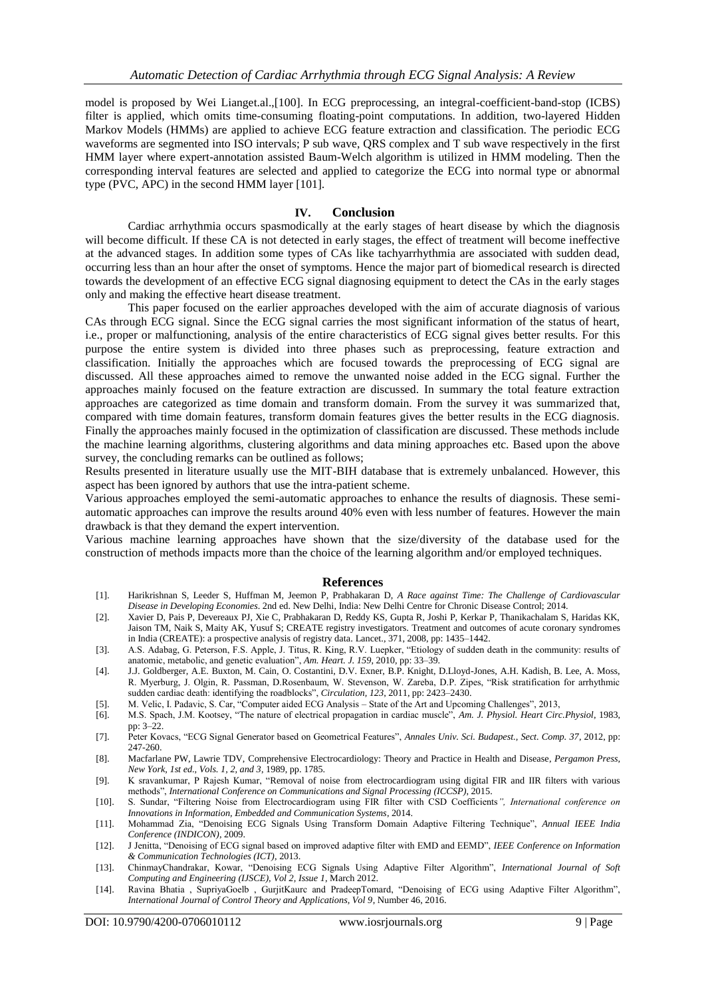model is proposed by Wei Lianget.al.,[100]. In ECG preprocessing, an integral-coefficient-band-stop (ICBS) filter is applied, which omits time-consuming floating-point computations. In addition, two-layered Hidden Markov Models (HMMs) are applied to achieve ECG feature extraction and classification. The periodic ECG waveforms are segmented into ISO intervals; P sub wave, QRS complex and T sub wave respectively in the first HMM layer where expert-annotation assisted Baum-Welch algorithm is utilized in HMM modeling. Then the corresponding interval features are selected and applied to categorize the ECG into normal type or abnormal type (PVC, APC) in the second HMM layer [101].

## **IV. Conclusion**

Cardiac arrhythmia occurs spasmodically at the early stages of heart disease by which the diagnosis will become difficult. If these CA is not detected in early stages, the effect of treatment will become ineffective at the advanced stages. In addition some types of CAs like tachyarrhythmia are associated with sudden dead, occurring less than an hour after the onset of symptoms. Hence the major part of biomedical research is directed towards the development of an effective ECG signal diagnosing equipment to detect the CAs in the early stages only and making the effective heart disease treatment.

This paper focused on the earlier approaches developed with the aim of accurate diagnosis of various CAs through ECG signal. Since the ECG signal carries the most significant information of the status of heart, i.e., proper or malfunctioning, analysis of the entire characteristics of ECG signal gives better results. For this purpose the entire system is divided into three phases such as preprocessing, feature extraction and classification. Initially the approaches which are focused towards the preprocessing of ECG signal are discussed. All these approaches aimed to remove the unwanted noise added in the ECG signal. Further the approaches mainly focused on the feature extraction are discussed. In summary the total feature extraction approaches are categorized as time domain and transform domain. From the survey it was summarized that, compared with time domain features, transform domain features gives the better results in the ECG diagnosis. Finally the approaches mainly focused in the optimization of classification are discussed. These methods include the machine learning algorithms, clustering algorithms and data mining approaches etc. Based upon the above survey, the concluding remarks can be outlined as follows;

Results presented in literature usually use the MIT-BIH database that is extremely unbalanced. However, this aspect has been ignored by authors that use the intra-patient scheme.

Various approaches employed the semi-automatic approaches to enhance the results of diagnosis. These semiautomatic approaches can improve the results around 40% even with less number of features. However the main drawback is that they demand the expert intervention.

Various machine learning approaches have shown that the size/diversity of the database used for the construction of methods impacts more than the choice of the learning algorithm and/or employed techniques.

#### **References**

- [1]. Harikrishnan S, Leeder S, Huffman M, Jeemon P, Prabhakaran D, *A Race against Time: The Challenge of Cardiovascular Disease in Developing Economies*. 2nd ed. New Delhi, India: New Delhi Centre for Chronic Disease Control; 2014.
- [2]. Xavier D, Pais P, Devereaux PJ, Xie C, Prabhakaran D, Reddy KS, Gupta R, Joshi P, Kerkar P, Thanikachalam S, Haridas KK, Jaison TM, Naik S, Maity AK, Yusuf S; CREATE registry investigators. Treatment and outcomes of acute coronary syndromes in India (CREATE): a prospective analysis of registry data. Lancet., 371, 2008, pp: 1435–1442.
- [3]. A.S. Adabag, G. Peterson, F.S. Apple, J. Titus, R. King, R.V. Luepker, "Etiology of sudden death in the community: results of anatomic, metabolic, and genetic evaluation", *Am. Heart. J. 159*, 2010, pp: 33–39.
- [4]. J.J. Goldberger, A.E. Buxton, M. Cain, O. Costantini, D.V. Exner, B.P. Knight, D.Lloyd-Jones, A.H. Kadish, B. Lee, A. Moss, R. Myerburg, J. Olgin, R. Passman, D.Rosenbaum, W. Stevenson, W. Zareba, D.P. Zipes, "Risk stratification for arrhythmic sudden cardiac death: identifying the roadblocks", *Circulation, 123*, 2011, pp: 2423–2430.
- [5]. M. Velic, I. Padavic, S. Car, "Computer aided ECG Analysis State of the Art and Upcoming Challenges", 2013,
- [6]. M.S. Spach, J.M. Kootsey, "The nature of electrical propagation in cardiac muscle", *Am. J. Physiol. Heart Circ.Physiol*, 1983, pp: 3–22.
- [7]. Peter Kovacs, "ECG Signal Generator based on Geometrical Features", *Annales Univ. Sci. Budapest., Sect. Comp. 37*, 2012, pp: 247-260.
- [8]. Macfarlane PW, Lawrie TDV, Comprehensive Electrocardiology: Theory and Practice in Health and Disease, *Pergamon Press, New York, 1st ed., Vols. 1, 2, and 3*, 1989, pp. 1785.
- [9]. K sravankumar, P Rajesh Kumar, "Removal of noise from electrocardiogram using digital FIR and IIR filters with various methods", *International Conference on Communications and Signal Processing (ICCSP)*, 2015.
- [10]. S. Sundar, "Filtering Noise from Electrocardiogram using FIR filter with CSD Coefficients*", International conference on Innovations in Information, Embedded and Communication Systems*, 2014.
- [11]. Mohammad Zia, "Denoising ECG Signals Using Transform Domain Adaptive Filtering Technique", *Annual IEEE India Conference (INDICON)*, 2009.
- [12]. J Jenitta, "Denoising of ECG signal based on improved adaptive filter with EMD and EEMD", *IEEE Conference on Information & Communication Technologies (ICT)*, 2013.
- [13]. ChinmayChandrakar, Kowar, "Denoising ECG Signals Using Adaptive Filter Algorithm", *International Journal of Soft Computing and Engineering (IJSCE), Vol 2, Issue 1*, March 2012.
- [14]. Ravina Bhatia , SupriyaGoelb , GurjitKaurc and PradeepTomard, "Denoising of ECG using Adaptive Filter Algorithm", *International Journal of Control Theory and Applications, Vol 9*, Number 46, 2016.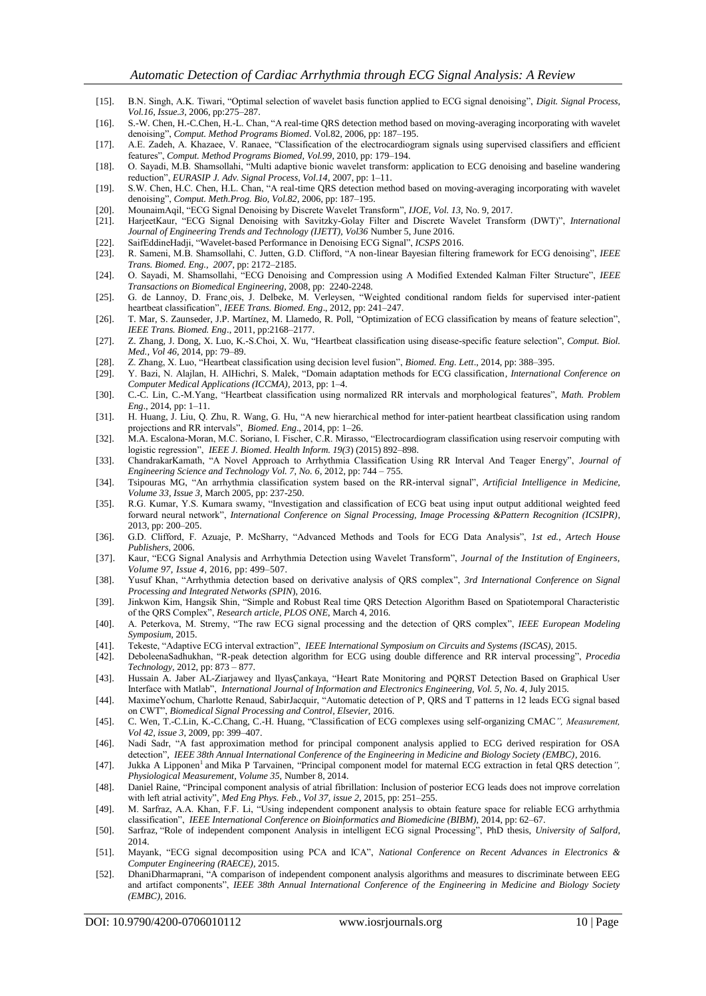- [15]. B.N. Singh, A.K. Tiwari, "Optimal selection of wavelet basis function applied to ECG signal denoising", *Digit. Signal Process, Vol.16, Issue.3*, 2006, pp:275–287.
- [16]. S.-W. Chen, H.-C.Chen, H.-L. Chan, "A real-time QRS detection method based on moving-averaging incorporating with wavelet denoising", *Comput. Method Programs Biomed*. Vol.82, 2006, pp: 187–195.
- [17]. A.E. Zadeh, A. Khazaee, V. Ranaee, "Classification of the electrocardiogram signals using supervised classifiers and efficient features", *Comput. Method Programs Biomed, Vol.99*, 2010, pp: 179–194.
- [18]. O. Sayadi, M.B. Shamsollahi, "Multi adaptive bionic wavelet transform: application to ECG denoising and baseline wandering reduction", *EURASIP J. Adv. Signal Process, Vol.14*, 2007, pp: 1–11.
- [19]. S.W. Chen, H.C. Chen, H.L. Chan, "A real-time QRS detection method based on moving-averaging incorporating with wavelet denoising", *Comput. Meth.Prog. Bio, Vol.82*, 2006, pp: 187–195.
- [20]. MounaimAqil, "ECG Signal Denoising by Discrete Wavelet Transform", *IJOE, Vol. 13*, No. 9, 2017.
- [21]. HarjeetKaur, "ECG Signal Denoising with Savitzky-Golay Filter and Discrete Wavelet Transform (DWT)", *International Journal of Engineering Trends and Technology (IJETT), Vol36* Number 5, June 2016.
- [22]. SaifEddineHadji, "Wavelet-based Performance in Denoising ECG Signal", *ICSPS* 2016.
- [23]. R. Sameni, M.B. Shamsollahi, C. Jutten, G.D. Clifford, "A non-linear Bayesian filtering framework for ECG denoising", *IEEE Trans. Biomed. Eng., 2007*, pp: 2172–2185.
- [24]. O. Sayadi, M. Shamsollahi, "ECG Denoising and Compression using A Modified Extended Kalman Filter Structure", *IEEE Transactions on Biomedical Engineering,* 2008, pp: 2240-2248.
- [25]. G. de Lannoy, D. Franc ois, J. Delbeke, M. Verleysen, "Weighted conditional random fields for supervised inter-patient heartbeat classification", *IEEE Trans. Biomed. Eng*., 2012, pp: 241–247.
- [26]. T. Mar, S. Zaunseder, J.P. Martínez, M. Llamedo, R. Poll, "Optimization of ECG classification by means of feature selection", *IEEE Trans. Biomed. Eng*., 2011, pp:2168–2177.
- [27]. Z. Zhang, J. Dong, X. Luo, K.-S.Choi, X. Wu, "Heartbeat classification using disease-specific feature selection", *Comput. Biol. Med., Vol 46,* 2014, pp: 79–89.
- [28]. Z. Zhang, X. Luo, "Heartbeat classification using decision level fusion", *Biomed. Eng. Lett*., 2014, pp: 388–395.
- [29]. Y. Bazi, N. Alajlan, H. AlHichri, S. Malek, "Domain adaptation methods for ECG classification*, International Conference on Computer Medical Applications (ICCMA)*, 2013, pp: 1–4.
- [30]. C.-C. Lin, C.-M.Yang, "Heartbeat classification using normalized RR intervals and morphological features", *Math. Problem Eng*., 2014, pp: 1–11.
- [31]. H. Huang, J. Liu, Q. Zhu, R. Wang, G. Hu, "A new hierarchical method for inter-patient heartbeat classification using random projections and RR intervals", *Biomed. Eng*., 2014, pp: 1–26.
- [32]. M.A. Escalona-Moran, M.C. Soriano, I. Fischer, C.R. Mirasso, "Electrocardiogram classification using reservoir computing with logistic regression", *IEEE J. Biomed. Health Inform. 19(3*) (2015) 892–898.
- [33]. ChandrakarKamath, "A Novel Approach to Arrhythmia Classification Using RR Interval And Teager Energy", *Journal of Engineering Science and Technology Vol. 7, No. 6*, 2012, pp: 744 – 755.
- [34]. Tsipouras MG, "An arrhythmia classification system based on the RR-interval signal", *Artificial Intelligence in Medicine, Volume 33, Issue 3*, March 2005, pp: 237-250.
- [35]. R.G. Kumar, Y.S. Kumara swamy, "Investigation and classification of ECG beat using input output additional weighted feed forward neural network", *International Conference on Signal Processing, Image Processing &Pattern Recognition (ICSIPR)*, 2013, pp: 200–205.
- [36]. G.D. Clifford, F. Azuaje, P. McSharry, "Advanced Methods and Tools for ECG Data Analysis", *1st ed., Artech House Publishers*, 2006.
- [37]. Kaur, "ECG Signal Analysis and Arrhythmia Detection using Wavelet Transform", *Journal of the Institution of Engineers, Volume 97, Issue 4*, 2016, pp: 499–507.
- [38]. Yusuf Khan, "Arrhythmia detection based on derivative analysis of QRS complex", *3rd International Conference on Signal Processing and Integrated Networks (SPIN*), 2016.
- [39]. Jinkwon Kim, Hangsik Shin, "Simple and Robust Real time QRS Detection Algorithm Based on Spatiotemporal Characteristic of the QRS Complex", *Research article, PLOS ONE*, March 4, 2016.
- [40]. A. Peterkova, M. Stremy, "The raw ECG signal processing and the detection of QRS complex", *IEEE European Modeling Symposium,* 2015.
- [41]. Tekeste, "Adaptive ECG interval extraction", *IEEE International Symposium on Circuits and Systems (ISCAS),* 2015.
- [42]. DeboleenaSadhukhan, "R-peak detection algorithm for ECG using double difference and RR interval processing", *Procedia Technology*, 2012, pp: 873 – 877.
- [43]. Hussain A. Jaber AL-Ziarjawey and IlyasÇankaya, "Heart Rate Monitoring and PQRST Detection Based on Graphical User Interface with Matlab", *International Journal of Information and Electronics Engineering, Vol. 5, No. 4*, July 2015.
- [44]. MaximeYochum, Charlotte Renaud, SabirJacquir, "Automatic detection of P, QRS and T patterns in 12 leads ECG signal based on CWT", *Biomedical Signal Processing and Control, Elsevier,* 2016.
- [45]. C. Wen, T.-C.Lin, K.-C.Chang, C.-H. Huang, "Classification of ECG complexes using self-organizing CMAC*", Measurement, Vol 42, issue 3*, 2009, pp: 399–407.
- [46]. Nadi Sadr, "A fast approximation method for principal component analysis applied to ECG derived respiration for OSA detection", *IEEE 38th Annual International Conference of the Engineering in Medicine and Biology Society (EMBC)*, 2016.
- [47]. Jukka A Lipponen<sup>1</sup> and Mika P Tarvainen, "Principal component model for maternal ECG extraction in fetal QRS detection", *Physiological Measurement, Volume 35*, Number 8, 2014.
- [48]. Daniel Raine, "Principal component analysis of atrial fibrillation: Inclusion of posterior ECG leads does not improve correlation with left atrial activity", *Med Eng Phys. Feb., Vol 37, issue 2*, 2015, pp: 251–255.
- [49]. M. Sarfraz, A.A. Khan, F.F. Li, "Using independent component analysis to obtain feature space for reliable ECG arrhythmia classification", *IEEE International Conference on Bioinformatics and Biomedicine (BIBM),* 2014, pp: 62–67.
- [50]. Sarfraz, "Role of independent component Analysis in intelligent ECG signal Processing", PhD thesis, *University of Salford*, 2014.
- [51]. Mayank, "ECG signal decomposition using PCA and ICA", *National Conference on Recent Advances in Electronics & Computer Engineering (RAECE)*, 2015.
- [52]. DhaniDharmaprani, "A comparison of independent component analysis algorithms and measures to discriminate between EEG and artifact components", *IEEE 38th Annual International Conference of the Engineering in Medicine and Biology Society (EMBC),* 2016.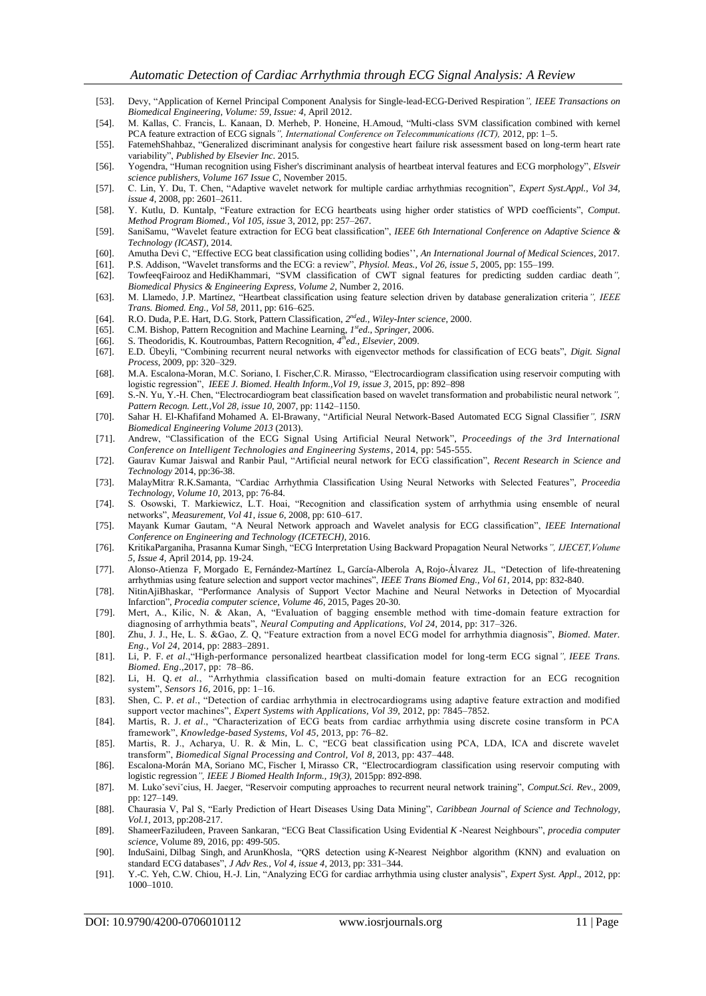- [53]. Devy, "Application of Kernel Principal Component Analysis for Single-lead-ECG-Derived Respiration*", IEEE Transactions on Biomedical Engineering, Volume: 59, Issue: 4*, April 2012.
- [54]. M. Kallas, C. Francis, L. Kanaan, D. Merheb, P. Honeine, H.Amoud, "Multi-class SVM classification combined with kernel PCA feature extraction of ECG signals*", International Conference on Telecommunications (ICT),* 2012, pp: 1–5.
- [55]. FatemehShahbaz, "Generalized discriminant analysis for congestive heart failure risk assessment based on long-term heart rate variability", *Published by Elsevier Inc*. 2015.
- [56]. Yogendra, "Human recognition using Fisher's discriminant analysis of heartbeat interval features and ECG morphology", *Elsveir science publishers, Volume 167 Issue C*, November 2015.
- [57]. C. Lin, Y. Du, T. Chen, "Adaptive wavelet network for multiple cardiac arrhythmias recognition", *Expert Syst.Appl., Vol 34, issue 4*, 2008, pp: 2601–2611.
- [58]. Y. Kutlu, D. Kuntalp, "Feature extraction for ECG heartbeats using higher order statistics of WPD coefficients", *Comput. Method Program Biomed., Vol 105, issue* 3, 2012, pp: 257–267.
- [59]. SaniSamu, "Wavelet feature extraction for ECG beat classification", *IEEE 6th International Conference on Adaptive Science & Technology (ICAST)*, 2014.
- [60]. Amutha Devi C, "Effective ECG beat classification using colliding bodies'', *An International Journal of Medical Sciences*, 2017.
- [61]. P.S. Addison, "Wavelet transforms and the ECG: a review", *Physiol. Meas., Vol 26, issue 5*, 2005, pp: 155–199. [62]. TowfeeqFairooz and HediKhammari, "SVM classification of CWT signal features for predicting sudden cardiac death*",*
- *Biomedical Physics & Engineering Express, Volume 2*, Number 2, 2016.
- [63]. M. Llamedo, J.P. Martínez, "Heartbeat classification using feature selection driven by database generalization criteria*", IEEE Trans. Biomed. Eng., Vol 58,* 2011, pp: 616–625.
- [64]. R.O. Duda, P.E. Hart, D.G. Stork, Pattern Classification, *2 nded., Wiley-Inter science*, 2000.
- [65]. C.M. Bishop, Pattern Recognition and Machine Learning, *1 sted*., *Springer*, 2006.
- [66]. S. Theodoridis, K. Koutroumbas, Pattern Recognition,  $\bar{A}^{th}$ ed., Elsevier, 2009.
- [67]. E.D. Übeyli, "Combining recurrent neural networks with eigenvector methods for classification of ECG beats", *Digit. Signal Process*, 2009, pp: 320–329.
- [68]. M.A. Escalona-Moran, M.C. Soriano, I. Fischer,C.R. Mirasso, "Electrocardiogram classification using reservoir computing with logistic regression", *IEEE J. Biomed. Health Inform.,Vol 19, issue 3*, 2015, pp: 892–898
- [69]. S.-N. Yu, Y.-H. Chen, "Electrocardiogram beat classification based on wavelet transformation and probabilistic neural network*", Pattern Recogn. Lett.,Vol 28, issue 10*, 2007, pp: 1142–1150.
- [70]. Sahar H. El-Khafifand Mohamed A. El-Brawany, "Artificial Neural Network-Based Automated ECG Signal Classifier*", ISRN Biomedical Engineering Volume 2013* (2013).
- [71]. Andrew, "Classification of the ECG Signal Using Artificial Neural Network", *Proceedings of the 3rd International Conference on Intelligent Technologies and Engineering Systems*, 2014, pp: 545-555.
- [72]. Gaurav Kumar Jaiswal and Ranbir Paul, "Artificial neural network for ECG classification", *Recent Research in Science and Technology* 2014, pp:36-38.
- [73]. MalayMitra, R.K.Samanta, "Cardiac Arrhythmia Classification Using Neural Networks with Selected Features", *Proceedia Technology, Volume 10*, 2013, pp: 76-84.
- [74]. S. Osowski, T. Markiewicz, L.T. Hoai, "Recognition and classification system of arrhythmia using ensemble of neural networks", *Measurement, Vol 41, issue 6*, 2008, pp: 610–617.
- [75]. Mayank Kumar Gautam, "A Neural Network approach and Wavelet analysis for ECG classification", *IEEE International Conference on Engineering and Technology (ICETECH)*, 2016.
- [76]. KritikaParganiha, Prasanna Kumar Singh, "ECG Interpretation Using Backward Propagation Neural Networks*", IJECET,Volume 5, Issue 4,* April 2014, pp. 19-24.
- [77]. Alonso-Atienza F, Morgado E, Fernández-Martínez L, García-Alberola A, Rojo-Álvarez JL, "Detection of life-threatening arrhythmias using feature selection and support vector machines", *IEEE Trans Biomed Eng., Vol 61*, 2014, pp: 832-840.
- [78]. [NitinAjiBhaskar,](http://www.sciencedirect.com/science/article/pii/S1877050915000447#!) "Performance Analysis of Support Vector Machine and Neural Networks in Detection of Myocardial Infarction", *Procedia computer science, Volume 46*, 2015, Pages 20-30.
- [79]. Mert, A., Kilic, N. & Akan, A, "Evaluation of bagging ensemble method with time-domain feature extraction for diagnosing of arrhythmia beats", *Neural Computing and Applications, Vol 24*, 2014, pp: 317–326.
- [80]. Zhu, J. J., He, L. S. &Gao, Z. Q, "Feature extraction from a novel ECG model for arrhythmia diagnosis", *Biomed. Mater. Eng., Vol 24*, 2014, pp: 2883–2891.
- [81]. Li, P. F. *et al*.,"High-performance personalized heartbeat classification model for long-term ECG signal*", IEEE Trans. Biomed. Eng*.,2017, pp: 78–86.
- [82]. Li, H. Q. *et al.*, "Arrhythmia classification based on multi-domain feature extraction for an ECG recognition system", *Sensors 16*, 2016, pp: 1–16.
- [83]. Shen, C. P. *et al*., "Detection of cardiac arrhythmia in electrocardiograms using adaptive feature extraction and modified support vector machines", *Expert Systems with Applications, Vol 39*, 2012, pp: 7845–7852.
- [84]. Martis, R. J. *et al*., "Characterization of ECG beats from cardiac arrhythmia using discrete cosine transform in PCA framework", *Knowledge-based Systems, Vol 45*, 2013, pp: 76–82.
- [85]. Martis, R. J., Acharya, U. R. & Min, L. C, "ECG beat classification using PCA, LDA, ICA and discrete wavelet transform", *Biomedical Signal Processing and Control, Vol 8*, 2013, pp: 437–448.
- [86]. Escalona-Morán MA, Soriano MC, Fischer I, Mirasso CR, "Electrocardiogram classification using reservoir computing with logistic regression*", IEEE J Biomed Health Inform., 19(3),* 2015pp: 892-898.
- [87]. M. Lukoˇseviˇcius, H. Jaeger, "Reservoir computing approaches to recurrent neural network training", *Comput.Sci. Rev*., 2009, pp: 127–149.
- [88]. Chaurasia V, Pal S, "Early Prediction of Heart Diseases Using Data Mining", *Caribbean Journal of Science and Technology, Vol.1*, 2013, pp:208-217.
- [89]. [ShameerFaziludeen, Praveen Sankaran,](http://www.sciencedirect.com/science/article/pii/S1877050916311711#!) "ECG Beat Classification Using Evidential *K* -Nearest Neighbours", *procedia computer science*, Volume 89, 2016, pp: 499-505.
- [90]. InduSaini, Dilbag Singh, and ArunKhosla, "QRS detection using *K*-Nearest Neighbor algorithm (KNN) and evaluation on standard ECG databases", *J Adv Res., Vol 4, issue 4*, 2013, pp: 331–344.
- [91]. Y.-C. Yeh, C.W. Chiou, H.-J. Lin, "Analyzing ECG for cardiac arrhythmia using cluster analysis", *Expert Syst. Appl*., 2012, pp: 1000–1010.